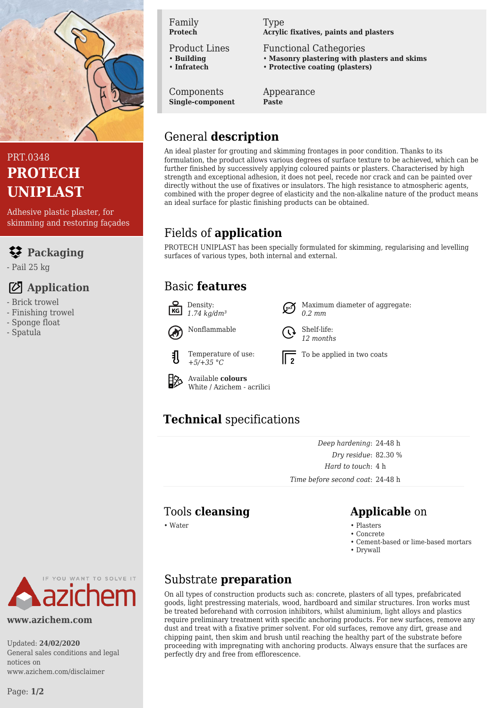

# PRT.0348 **PROTECH UNIPLAST**

Adhesive plastic plaster, for skimming and restoring façades

## **Packaging**

- Pail 25 kg

## **Application**

- Brick trowel
- Finishing trowel
- Sponge float
- Spatula

#### Family **Protech**

Product Lines

- **Building** • **Infratech**
- 

Components

**Single-component**

Type **Acrylic fixatives, paints and plasters**

Functional Cathegories

- **Masonry plastering with plasters and skims**
- **Protective coating (plasters)**

Appearance **Paste**

# General **description**

An ideal plaster for grouting and skimming frontages in poor condition. Thanks to its formulation, the product allows various degrees of surface texture to be achieved, which can be further finished by successively applying coloured paints or plasters. Characterised by high strength and exceptional adhesion, it does not peel, recede nor crack and can be painted over directly without the use of fixatives or insulators. The high resistance to atmospheric agents, combined with the proper degree of elasticity and the non-alkaline nature of the product means an ideal surface for plastic finishing products can be obtained.

# Fields of **application**

PROTECH UNIPLAST has been specially formulated for skimming, regularising and levelling surfaces of various types, both internal and external.

## Basic **features**



## **Technical** specifications

*Deep hardening*: 24-48 h *Dry residue*: 82.30 % *Hard to touch*: 4 h *Time before second coat*: 24-48 h

## Tools **cleansing Applicable** on

• Water • Plasters

- Concrete
- Cement-based or lime-based mortars
- Drywall

YOU WANT TO SOLVE IT

### **www.azichem.com**

Updated: **24/02/2020** General sales conditions and legal notices on www.azichem.com/disclaimer

## Substrate **preparation**

On all types of construction products such as: concrete, plasters of all types, prefabricated goods, light prestressing materials, wood, hardboard and similar structures. Iron works must be treated beforehand with corrosion inhibitors, whilst aluminium, light alloys and plastics require preliminary treatment with specific anchoring products. For new surfaces, remove any dust and treat with a fixative primer solvent. For old surfaces, remove any dirt, grease and chipping paint, then skim and brush until reaching the healthy part of the substrate before proceeding with impregnating with anchoring products. Always ensure that the surfaces are perfectly dry and free from efflorescence.